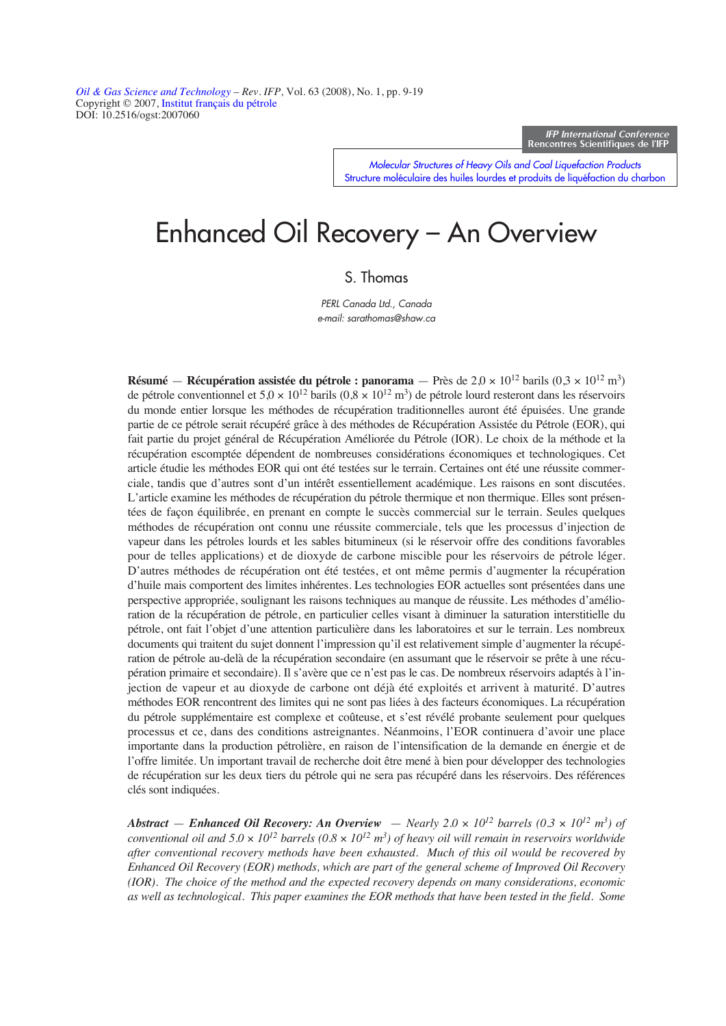*[Oil & Gas Science and Technology](http://ogst.ifp.fr/) – Rev. IFP,* Vol. 63 (2008), No. 1, pp. 9-19 Copyright © 2007, [Institut français du pétrole](http://www.ifp.fr/) DOI: 10.2516/ogst:2007060

IFP International Conference Rencontres Scientifiques de l'IFP

Molecular Structures of Heavy Oils and Coal Liquefaction Products [Structure moléculaire des huiles lourdes et produits de liquéfaction du charbon](http://ogst.ifp.fr/index.php?option=toc&url=/articles/ogst/abs/2008/01/contents/contents.html)

# Enhanced Oil Recovery – An Overview

# S. Thomas

PERL Canada Ltd., Canada e-mail: sarathomas@shaw.ca

**Résumé — Récupération assistée du pétrole : panorama — Près de 2,0**  $\times$  **10<sup>12</sup> barils (0,3**  $\times$  **10<sup>12</sup> m<sup>3</sup>)** de pétrole conventionnel et  $5.0 \times 10^{12}$  barils  $(0.8 \times 10^{12} \text{ m}^3)$  de pétrole lourd resteront dans les réservoirs du monde entier lorsque les méthodes de récupération traditionnelles auront été épuisées. Une grande partie de ce pétrole serait récupéré grâce à des méthodes de Récupération Assistée du Pétrole (EOR), qui fait partie du projet général de Récupération Améliorée du Pétrole (IOR). Le choix de la méthode et la récupération escomptée dépendent de nombreuses considérations économiques et technologiques. Cet article étudie les méthodes EOR qui ont été testées sur le terrain. Certaines ont été une réussite commerciale, tandis que d'autres sont d'un intérêt essentiellement académique. Les raisons en sont discutées. L'article examine les méthodes de récupération du pétrole thermique et non thermique. Elles sont présentées de façon équilibrée, en prenant en compte le succès commercial sur le terrain. Seules quelques méthodes de récupération ont connu une réussite commerciale, tels que les processus d'injection de vapeur dans les pétroles lourds et les sables bitumineux (si le réservoir offre des conditions favorables pour de telles applications) et de dioxyde de carbone miscible pour les réservoirs de pétrole léger. D'autres méthodes de récupération ont été testées, et ont même permis d'augmenter la récupération d'huile mais comportent des limites inhérentes. Les technologies EOR actuelles sont présentées dans une perspective appropriée, soulignant les raisons techniques au manque de réussite. Les méthodes d'amélioration de la récupération de pétrole, en particulier celles visant à diminuer la saturation interstitielle du pétrole, ont fait l'objet d'une attention particulière dans les laboratoires et sur le terrain. Les nombreux documents qui traitent du sujet donnent l'impression qu'il est relativement simple d'augmenter la récupération de pétrole au-delà de la récupération secondaire (en assumant que le réservoir se prête à une récupération primaire et secondaire). Il s'avère que ce n'est pas le cas. De nombreux réservoirs adaptés à l'injection de vapeur et au dioxyde de carbone ont déjà été exploités et arrivent à maturité. D'autres méthodes EOR rencontrent des limites qui ne sont pas liées à des facteurs économiques. La récupération du pétrole supplémentaire est complexe et coûteuse, et s'est révélé probante seulement pour quelques processus et ce, dans des conditions astreignantes. Néanmoins, l'EOR continuera d'avoir une place importante dans la production pétrolière, en raison de l'intensification de la demande en énergie et de l'offre limitée. Un important travail de recherche doit être mené à bien pour développer des technologies de récupération sur les deux tiers du pétrole qui ne sera pas récupéré dans les réservoirs. Des références clés sont indiquées.

*Abstract – Enhanced Oil Recovery: An Overview – Nearly*  $2.0 \times 10^{12}$  *barrels*  $(0.3 \times 10^{12} \text{ m}^3)$  *of conventional oil and*  $5.0 \times 10^{12}$  *barrels*  $(0.8 \times 10^{12} \text{ m}^3)$  *of heavy oil will remain in reservoirs worldwide after conventional recovery methods have been exhausted. Much of this oil would be recovered by Enhanced Oil Recovery (EOR) methods, which are part of the general scheme of Improved Oil Recovery (IOR). The choice of the method and the expected recovery depends on many considerations, economic as well as technological. This paper examines the EOR methods that have been tested in the field. Some*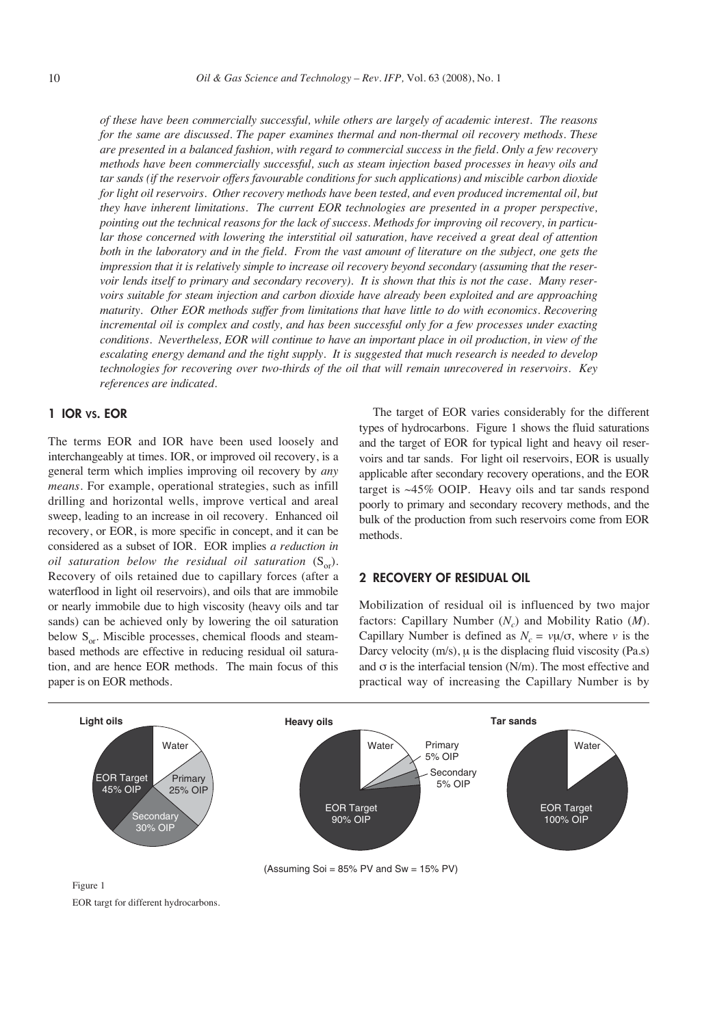*of these have been commercially successful, while others are largely of academic interest. The reasons for the same are discussed. The paper examines thermal and non-thermal oil recovery methods. These are presented in a balanced fashion, with regard to commercial success in the field. Only a few recovery methods have been commercially successful, such as steam injection based processes in heavy oils and tar sands (if the reservoir offers favourable conditions for such applications) and miscible carbon dioxide for light oil reservoirs. Other recovery methods have been tested, and even produced incremental oil, but they have inherent limitations. The current EOR technologies are presented in a proper perspective, pointing out the technical reasons for the lack of success. Methods for improving oil recovery, in particular those concerned with lowering the interstitial oil saturation, have received a great deal of attention both in the laboratory and in the field. From the vast amount of literature on the subject, one gets the impression that it is relatively simple to increase oil recovery beyond secondary (assuming that the reservoir lends itself to primary and secondary recovery). It is shown that this is not the case. Many reservoirs suitable for steam injection and carbon dioxide have already been exploited and are approaching maturity. Other EOR methods suffer from limitations that have little to do with economics. Recovering incremental oil is complex and costly, and has been successful only for a few processes under exacting conditions. Nevertheless, EOR will continue to have an important place in oil production, in view of the escalating energy demand and the tight supply. It is suggested that much research is needed to develop technologies for recovering over two-thirds of the oil that will remain unrecovered in reservoirs. Key references are indicated.*

# **1 IOR VS. EOR**

The terms EOR and IOR have been used loosely and interchangeably at times. IOR, or improved oil recovery, is a general term which implies improving oil recovery by *any means*. For example, operational strategies, such as infill drilling and horizontal wells, improve vertical and areal sweep, leading to an increase in oil recovery. Enhanced oil recovery, or EOR, is more specific in concept, and it can be considered as a subset of IOR. EOR implies *a reduction in oil saturation below the residual oil saturation*  $(S_{\alpha})$ . Recovery of oils retained due to capillary forces (after a waterflood in light oil reservoirs), and oils that are immobile or nearly immobile due to high viscosity (heavy oils and tar sands) can be achieved only by lowering the oil saturation below  $S_{\text{or}}$ . Miscible processes, chemical floods and steambased methods are effective in reducing residual oil saturation, and are hence EOR methods. The main focus of this paper is on EOR methods.

The target of EOR varies considerably for the different types of hydrocarbons. Figure 1 shows the fluid saturations and the target of EOR for typical light and heavy oil reservoirs and tar sands. For light oil reservoirs, EOR is usually applicable after secondary recovery operations, and the EOR target is ~45% OOIP. Heavy oils and tar sands respond poorly to primary and secondary recovery methods, and the bulk of the production from such reservoirs come from EOR methods.

#### **2 RECOVERY OF RESIDUAL OIL**

Mobilization of residual oil is influenced by two major factors: Capillary Number  $(N_c)$  and Mobility Ratio  $(M)$ . Capillary Number is defined as  $N_c = v\mu/\sigma$ , where *v* is the Darcy velocity (m/s), μ is the displacing fluid viscosity (Pa.s) and  $\sigma$  is the interfacial tension (N/m). The most effective and practical way of increasing the Capillary Number is by



Figure 1 EOR targt for different hydrocarbons.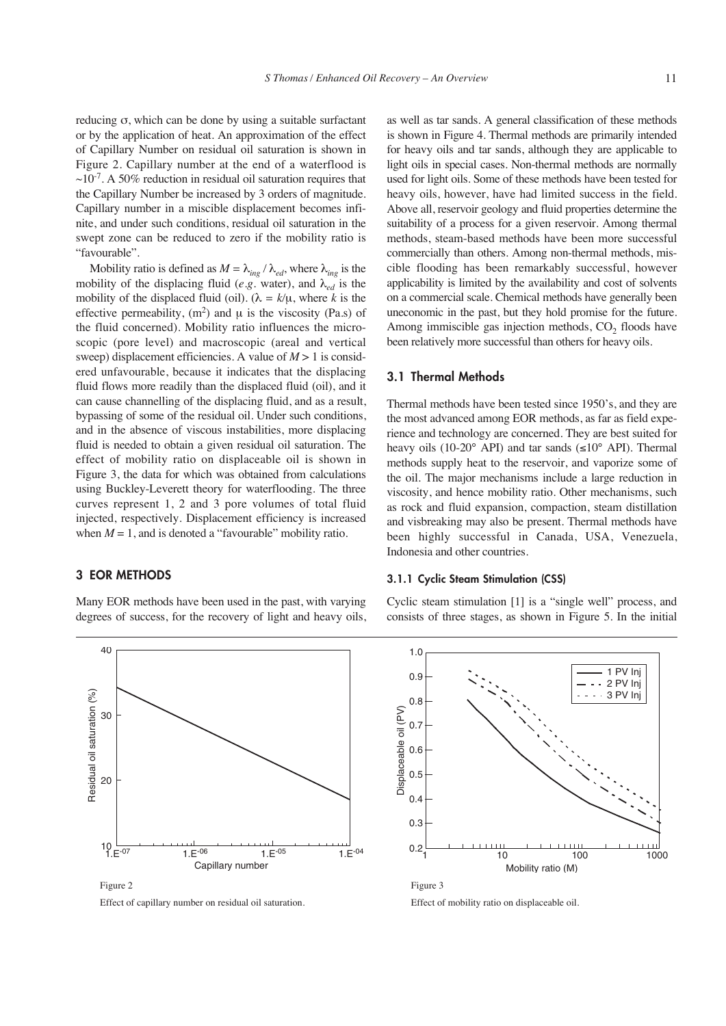reducing σ, which can be done by using a suitable surfactant or by the application of heat. An approximation of the effect of Capillary Number on residual oil saturation is shown in Figure 2. Capillary number at the end of a waterflood is  $\sim$ 10<sup>-7</sup>. A 50% reduction in residual oil saturation requires that the Capillary Number be increased by 3 orders of magnitude. Capillary number in a miscible displacement becomes infinite, and under such conditions, residual oil saturation in the swept zone can be reduced to zero if the mobility ratio is "favourable".

Mobility ratio is defined as  $M = \lambda_{\text{ing}} / \lambda_{\text{ed}}$ , where  $\lambda_{\text{ing}}$  is the mobility of the displacing fluid (*e.g.* water), and  $\lambda_{ed}$  is the mobility of the displaced fluid (oil).  $(\lambda = k/\mu)$ , where *k* is the effective permeability,  $(m^2)$  and  $\mu$  is the viscosity (Pa.s) of the fluid concerned). Mobility ratio influences the microscopic (pore level) and macroscopic (areal and vertical sweep) displacement efficiencies. A value of  $M > 1$  is considered unfavourable, because it indicates that the displacing fluid flows more readily than the displaced fluid (oil), and it can cause channelling of the displacing fluid, and as a result, bypassing of some of the residual oil. Under such conditions, and in the absence of viscous instabilities, more displacing fluid is needed to obtain a given residual oil saturation. The effect of mobility ratio on displaceable oil is shown in Figure 3, the data for which was obtained from calculations using Buckley-Leverett theory for waterflooding. The three curves represent 1, 2 and 3 pore volumes of total fluid injected, respectively. Displacement efficiency is increased when  $M = 1$ , and is denoted a "favourable" mobility ratio.

# **3 EOR METHODS**

 $10\frac{L}{1 \cdot E^{-07}}$ 

20

30

Residual oil saturation (%)

Residual oil saturation (%)

40

Many EOR methods have been used in the past, with varying degrees of success, for the recovery of light and heavy oils, as well as tar sands. A general classification of these methods is shown in Figure 4. Thermal methods are primarily intended for heavy oils and tar sands, although they are applicable to light oils in special cases. Non-thermal methods are normally used for light oils. Some of these methods have been tested for heavy oils, however, have had limited success in the field. Above all, reservoir geology and fluid properties determine the suitability of a process for a given reservoir. Among thermal methods, steam-based methods have been more successful commercially than others. Among non-thermal methods, miscible flooding has been remarkably successful, however applicability is limited by the availability and cost of solvents on a commercial scale. Chemical methods have generally been uneconomic in the past, but they hold promise for the future. Among immiscible gas injection methods,  $CO<sub>2</sub>$  floods have been relatively more successful than others for heavy oils.

# **3.1 Thermal Methods**

Thermal methods have been tested since 1950's, and they are the most advanced among EOR methods, as far as field experience and technology are concerned. They are best suited for heavy oils (10-20° API) and tar sands  $(\leq 10^{\circ}$  API). Thermal methods supply heat to the reservoir, and vaporize some of the oil. The major mechanisms include a large reduction in viscosity, and hence mobility ratio. Other mechanisms, such as rock and fluid expansion, compaction, steam distillation and visbreaking may also be present. Thermal methods have been highly successful in Canada, USA, Venezuela, Indonesia and other countries.

# **3.1.1 Cyclic Steam Stimulation (CSS)**

Cyclic steam stimulation [1] is a "single well" process, and consists of three stages, as shown in Figure 5. In the initial



 $1.E^{-06}$   $1$ .<br>Capillary number



Effect of mobility ratio on displaceable oil.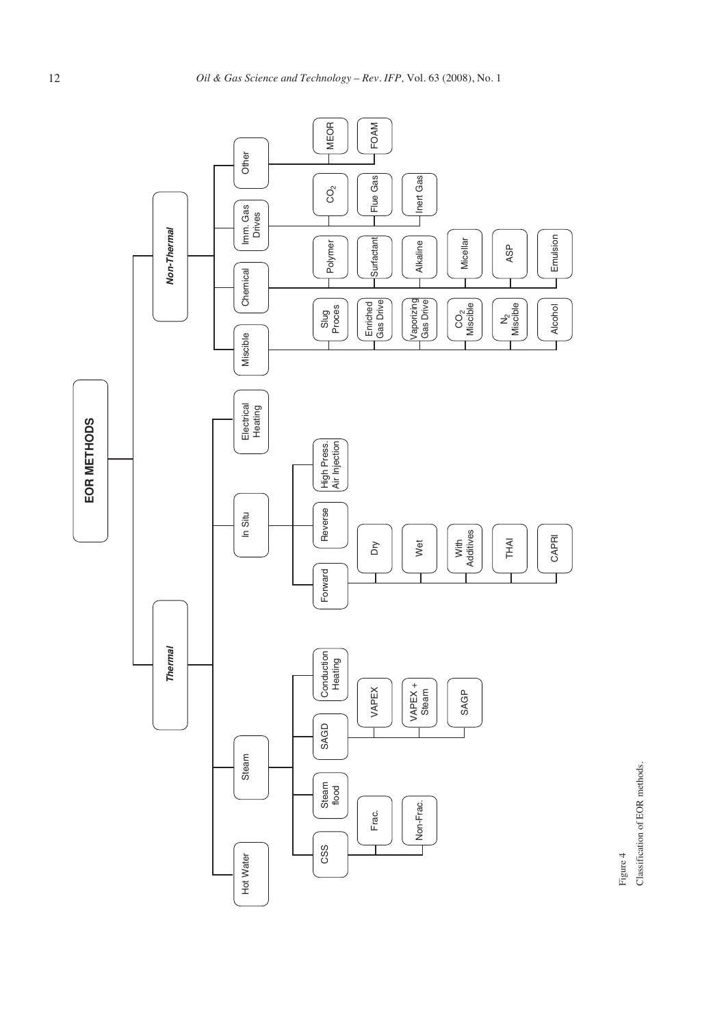

Classification of EOR methods. Classification of EOR methods.Figure 4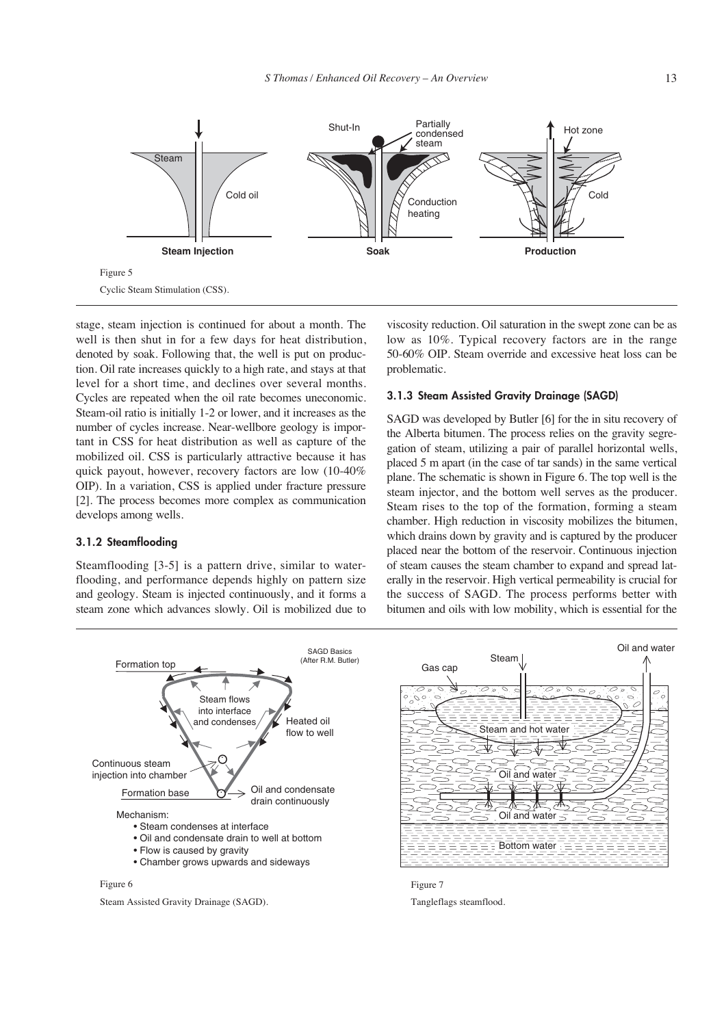

stage, steam injection is continued for about a month. The well is then shut in for a few days for heat distribution, denoted by soak. Following that, the well is put on production. Oil rate increases quickly to a high rate, and stays at that level for a short time, and declines over several months. Cycles are repeated when the oil rate becomes uneconomic. Steam-oil ratio is initially 1-2 or lower, and it increases as the number of cycles increase. Near-wellbore geology is important in CSS for heat distribution as well as capture of the mobilized oil. CSS is particularly attractive because it has quick payout, however, recovery factors are low (10-40% OIP). In a variation, CSS is applied under fracture pressure [2]. The process becomes more complex as communication develops among wells.

# **3.1.2 Steamflooding**

Steamflooding [3-5] is a pattern drive, similar to waterflooding, and performance depends highly on pattern size and geology. Steam is injected continuously, and it forms a steam zone which advances slowly. Oil is mobilized due to viscosity reduction. Oil saturation in the swept zone can be as low as 10%. Typical recovery factors are in the range 50-60% OIP. Steam override and excessive heat loss can be problematic.

# **3.1.3 Steam Assisted Gravity Drainage (SAGD)**

SAGD was developed by Butler [6] for the in situ recovery of the Alberta bitumen. The process relies on the gravity segregation of steam, utilizing a pair of parallel horizontal wells, placed 5 m apart (in the case of tar sands) in the same vertical plane. The schematic is shown in Figure 6. The top well is the steam injector, and the bottom well serves as the producer. Steam rises to the top of the formation, forming a steam chamber. High reduction in viscosity mobilizes the bitumen, which drains down by gravity and is captured by the producer placed near the bottom of the reservoir. Continuous injection of steam causes the steam chamber to expand and spread laterally in the reservoir. High vertical permeability is crucial for the success of SAGD. The process performs better with bitumen and oils with low mobility, which is essential for the



Steam Assisted Gravity Drainage (SAGD).

Tangleflags steamflood.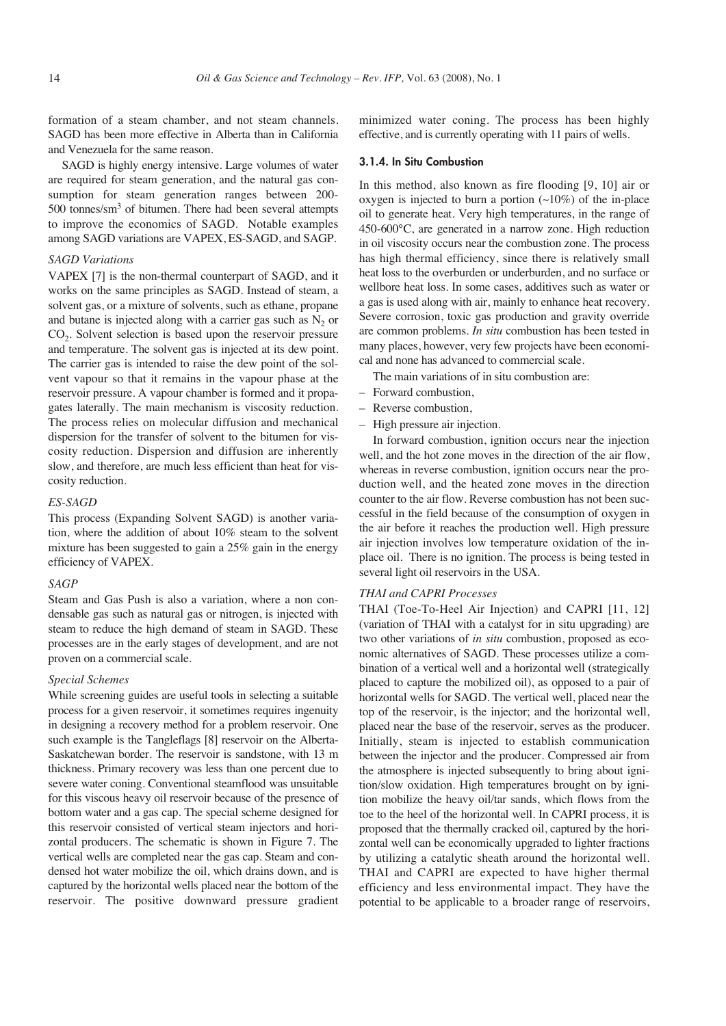formation of a steam chamber, and not steam channels. SAGD has been more effective in Alberta than in California and Venezuela for the same reason.

SAGD is highly energy intensive. Large volumes of water are required for steam generation, and the natural gas consumption for steam generation ranges between 200-  $500$  tonnes/sm<sup>3</sup> of bitumen. There had been several attempts to improve the economics of SAGD. Notable examples among SAGD variations are VAPEX, ES-SAGD, and SAGP.

# *SAGD Variations*

VAPEX [7] is the non-thermal counterpart of SAGD, and it works on the same principles as SAGD. Instead of steam, a solvent gas, or a mixture of solvents, such as ethane, propane and butane is injected along with a carrier gas such as  $N_2$  or CO<sub>2</sub>. Solvent selection is based upon the reservoir pressure and temperature. The solvent gas is injected at its dew point. The carrier gas is intended to raise the dew point of the solvent vapour so that it remains in the vapour phase at the reservoir pressure. A vapour chamber is formed and it propagates laterally. The main mechanism is viscosity reduction. The process relies on molecular diffusion and mechanical dispersion for the transfer of solvent to the bitumen for viscosity reduction. Dispersion and diffusion are inherently slow, and therefore, are much less efficient than heat for viscosity reduction.

## *ES-SAGD*

This process (Expanding Solvent SAGD) is another variation, where the addition of about 10% steam to the solvent mixture has been suggested to gain a 25% gain in the energy efficiency of VAPEX.

## *SAGP*

Steam and Gas Push is also a variation, where a non condensable gas such as natural gas or nitrogen, is injected with steam to reduce the high demand of steam in SAGD. These processes are in the early stages of development, and are not proven on a commercial scale.

#### *Special Schemes*

While screening guides are useful tools in selecting a suitable process for a given reservoir, it sometimes requires ingenuity in designing a recovery method for a problem reservoir. One such example is the Tangleflags [8] reservoir on the Alberta-Saskatchewan border. The reservoir is sandstone, with 13 m thickness. Primary recovery was less than one percent due to severe water coning. Conventional steamflood was unsuitable for this viscous heavy oil reservoir because of the presence of bottom water and a gas cap. The special scheme designed for this reservoir consisted of vertical steam injectors and horizontal producers. The schematic is shown in Figure 7. The vertical wells are completed near the gas cap. Steam and condensed hot water mobilize the oil, which drains down, and is captured by the horizontal wells placed near the bottom of the reservoir. The positive downward pressure gradient minimized water coning. The process has been highly effective, and is currently operating with 11 pairs of wells.

#### **3.1.4. In Situ Combustion**

In this method, also known as fire flooding [9, 10] air or oxygen is injected to burn a portion  $(\sim 10\%)$  of the in-place oil to generate heat. Very high temperatures, in the range of 450-600°C, are generated in a narrow zone. High reduction in oil viscosity occurs near the combustion zone. The process has high thermal efficiency, since there is relatively small heat loss to the overburden or underburden, and no surface or wellbore heat loss. In some cases, additives such as water or a gas is used along with air, mainly to enhance heat recovery. Severe corrosion, toxic gas production and gravity override are common problems. *In situ* combustion has been tested in many places, however, very few projects have been economical and none has advanced to commercial scale.

The main variations of in situ combustion are:

- Forward combustion,
- Reverse combustion,
- High pressure air injection.

In forward combustion, ignition occurs near the injection well, and the hot zone moves in the direction of the air flow, whereas in reverse combustion, ignition occurs near the production well, and the heated zone moves in the direction counter to the air flow. Reverse combustion has not been successful in the field because of the consumption of oxygen in the air before it reaches the production well. High pressure air injection involves low temperature oxidation of the inplace oil. There is no ignition. The process is being tested in several light oil reservoirs in the USA.

#### *THAI and CAPRI Processes*

THAI (Toe-To-Heel Air Injection) and CAPRI [11, 12] (variation of THAI with a catalyst for in situ upgrading) are two other variations of *in situ* combustion, proposed as economic alternatives of SAGD. These processes utilize a combination of a vertical well and a horizontal well (strategically placed to capture the mobilized oil), as opposed to a pair of horizontal wells for SAGD. The vertical well, placed near the top of the reservoir, is the injector; and the horizontal well, placed near the base of the reservoir, serves as the producer. Initially, steam is injected to establish communication between the injector and the producer. Compressed air from the atmosphere is injected subsequently to bring about ignition/slow oxidation. High temperatures brought on by ignition mobilize the heavy oil/tar sands, which flows from the toe to the heel of the horizontal well. In CAPRI process, it is proposed that the thermally cracked oil, captured by the horizontal well can be economically upgraded to lighter fractions by utilizing a catalytic sheath around the horizontal well. THAI and CAPRI are expected to have higher thermal efficiency and less environmental impact. They have the potential to be applicable to a broader range of reservoirs,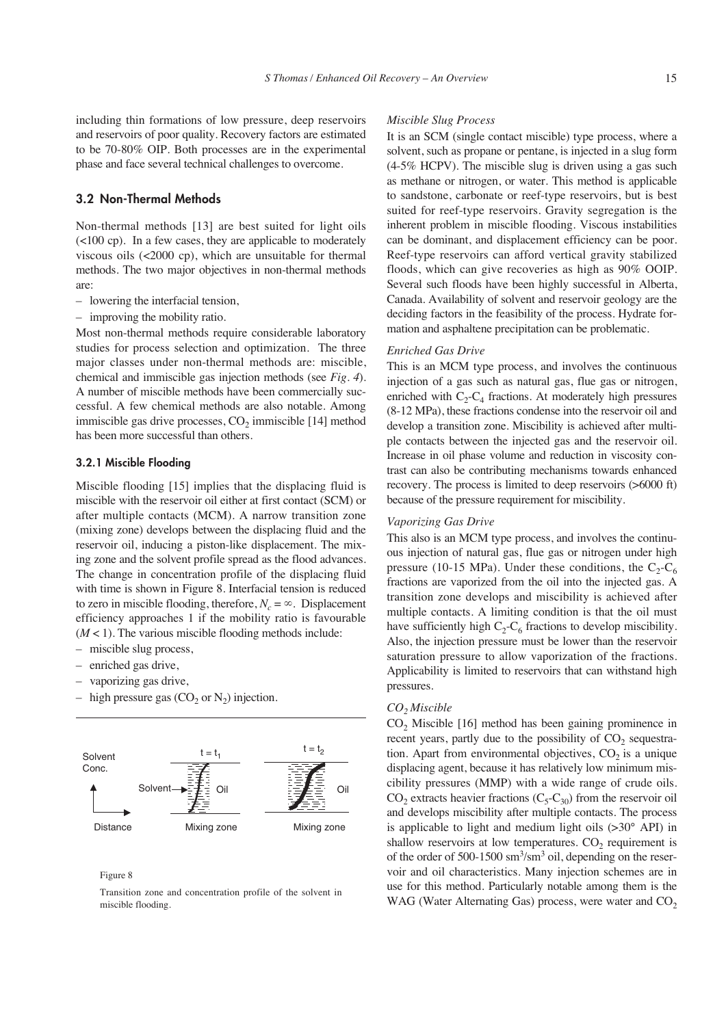including thin formations of low pressure, deep reservoirs and reservoirs of poor quality. Recovery factors are estimated to be 70-80% OIP. Both processes are in the experimental phase and face several technical challenges to overcome.

# **3.2 Non-Thermal Methods**

Non-thermal methods [13] are best suited for light oils (<100 cp). In a few cases, they are applicable to moderately viscous oils (<2000 cp), which are unsuitable for thermal methods. The two major objectives in non-thermal methods are:

- lowering the interfacial tension,
- improving the mobility ratio.

Most non-thermal methods require considerable laboratory studies for process selection and optimization. The three major classes under non-thermal methods are: miscible, chemical and immiscible gas injection methods (see *Fig. 4*). A number of miscible methods have been commercially successful. A few chemical methods are also notable. Among immiscible gas drive processes,  $CO<sub>2</sub>$  immiscible [14] method has been more successful than others.

## **3.2.1 Miscible Flooding**

Miscible flooding [15] implies that the displacing fluid is miscible with the reservoir oil either at first contact (SCM) or after multiple contacts (MCM). A narrow transition zone (mixing zone) develops between the displacing fluid and the reservoir oil, inducing a piston-like displacement. The mixing zone and the solvent profile spread as the flood advances. The change in concentration profile of the displacing fluid with time is shown in Figure 8. Interfacial tension is reduced to zero in miscible flooding, therefore,  $N_c = \infty$ . Displacement efficiency approaches 1 if the mobility ratio is favourable  $(M < 1)$ . The various miscible flooding methods include:

- miscible slug process,
- enriched gas drive,
- vaporizing gas drive,
- high pressure gas  $(CO<sub>2</sub>$  or N<sub>2</sub>) injection.



#### Figure 8

Transition zone and concentration profile of the solvent in miscible flooding.

### *Miscible Slug Process*

It is an SCM (single contact miscible) type process, where a solvent, such as propane or pentane, is injected in a slug form (4-5% HCPV). The miscible slug is driven using a gas such as methane or nitrogen, or water. This method is applicable to sandstone, carbonate or reef-type reservoirs, but is best suited for reef-type reservoirs. Gravity segregation is the inherent problem in miscible flooding. Viscous instabilities can be dominant, and displacement efficiency can be poor. Reef-type reservoirs can afford vertical gravity stabilized floods, which can give recoveries as high as 90% OOIP. Several such floods have been highly successful in Alberta, Canada. Availability of solvent and reservoir geology are the deciding factors in the feasibility of the process. Hydrate formation and asphaltene precipitation can be problematic.

#### *Enriched Gas Drive*

This is an MCM type process, and involves the continuous injection of a gas such as natural gas, flue gas or nitrogen, enriched with  $C_2$ - $C_4$  fractions. At moderately high pressures (8-12 MPa), these fractions condense into the reservoir oil and develop a transition zone. Miscibility is achieved after multiple contacts between the injected gas and the reservoir oil. Increase in oil phase volume and reduction in viscosity contrast can also be contributing mechanisms towards enhanced recovery. The process is limited to deep reservoirs (>6000 ft) because of the pressure requirement for miscibility.

#### *Vaporizing Gas Drive*

This also is an MCM type process, and involves the continuous injection of natural gas, flue gas or nitrogen under high pressure (10-15 MPa). Under these conditions, the  $C_2-C_6$ fractions are vaporized from the oil into the injected gas. A transition zone develops and miscibility is achieved after multiple contacts. A limiting condition is that the oil must have sufficiently high  $C_2-C_6$  fractions to develop miscibility. Also, the injection pressure must be lower than the reservoir saturation pressure to allow vaporization of the fractions. Applicability is limited to reservoirs that can withstand high pressures.

# *CO2 Miscible*

CO<sub>2</sub> Miscible [16] method has been gaining prominence in recent years, partly due to the possibility of  $CO<sub>2</sub>$  sequestration. Apart from environmental objectives,  $CO<sub>2</sub>$  is a unique displacing agent, because it has relatively low minimum miscibility pressures (MMP) with a wide range of crude oils.  $CO<sub>2</sub>$  extracts heavier fractions  $(C<sub>5</sub>-C<sub>30</sub>)$  from the reservoir oil and develops miscibility after multiple contacts. The process is applicable to light and medium light oils (>30° API) in shallow reservoirs at low temperatures.  $CO<sub>2</sub>$  requirement is of the order of 500-1500 sm<sup>3</sup>/sm<sup>3</sup> oil, depending on the reservoir and oil characteristics. Many injection schemes are in use for this method. Particularly notable among them is the WAG (Water Alternating Gas) process, were water and  $CO<sub>2</sub>$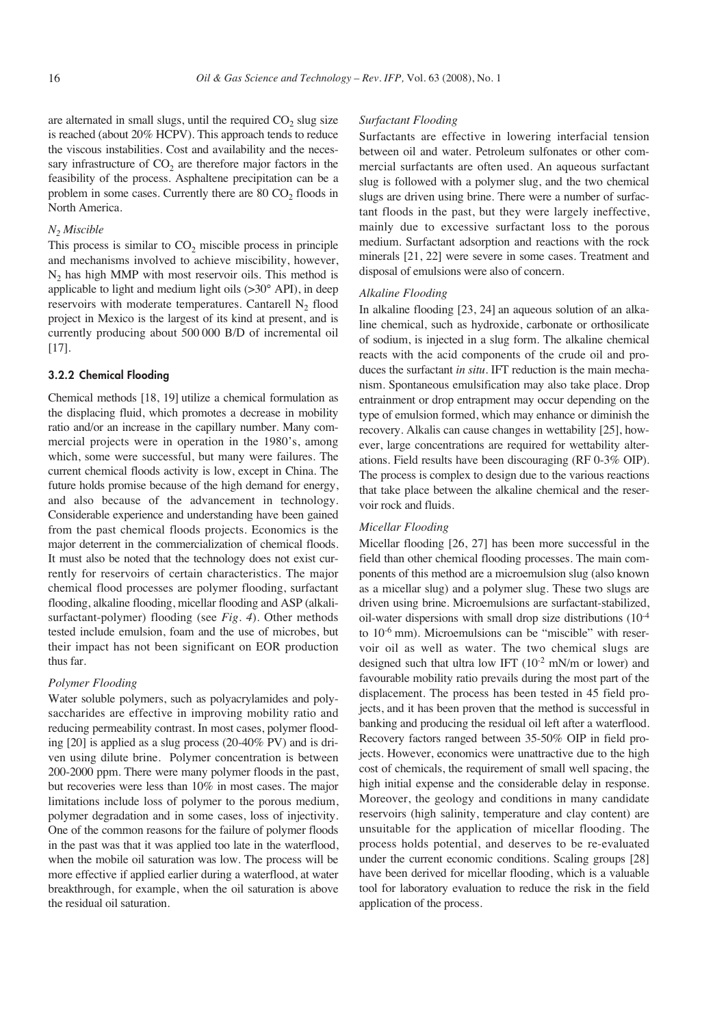are alternated in small slugs, until the required  $CO<sub>2</sub>$  slug size is reached (about 20% HCPV). This approach tends to reduce the viscous instabilities. Cost and availability and the necessary infrastructure of  $CO<sub>2</sub>$  are therefore major factors in the feasibility of the process. Asphaltene precipitation can be a problem in some cases. Currently there are  $80 \text{ CO}_2$  floods in North America.

# *N2 Miscible*

This process is similar to  $CO<sub>2</sub>$  miscible process in principle and mechanisms involved to achieve miscibility, however,  $N<sub>2</sub>$  has high MMP with most reservoir oils. This method is applicable to light and medium light oils (>30° API), in deep reservoirs with moderate temperatures. Cantarell  $N<sub>2</sub>$  flood project in Mexico is the largest of its kind at present, and is currently producing about 500 000 B/D of incremental oil [17].

# **3.2.2 Chemical Flooding**

Chemical methods [18, 19] utilize a chemical formulation as the displacing fluid, which promotes a decrease in mobility ratio and/or an increase in the capillary number. Many commercial projects were in operation in the 1980's, among which, some were successful, but many were failures. The current chemical floods activity is low, except in China. The future holds promise because of the high demand for energy, and also because of the advancement in technology. Considerable experience and understanding have been gained from the past chemical floods projects. Economics is the major deterrent in the commercialization of chemical floods. It must also be noted that the technology does not exist currently for reservoirs of certain characteristics. The major chemical flood processes are polymer flooding, surfactant flooding, alkaline flooding, micellar flooding and ASP (alkalisurfactant-polymer) flooding (see *Fig. 4*). Other methods tested include emulsion, foam and the use of microbes, but their impact has not been significant on EOR production thus far.

#### *Polymer Flooding*

Water soluble polymers, such as polyacrylamides and polysaccharides are effective in improving mobility ratio and reducing permeability contrast. In most cases, polymer flooding [20] is applied as a slug process (20-40% PV) and is driven using dilute brine. Polymer concentration is between 200-2000 ppm. There were many polymer floods in the past, but recoveries were less than 10% in most cases. The major limitations include loss of polymer to the porous medium, polymer degradation and in some cases, loss of injectivity. One of the common reasons for the failure of polymer floods in the past was that it was applied too late in the waterflood, when the mobile oil saturation was low. The process will be more effective if applied earlier during a waterflood, at water breakthrough, for example, when the oil saturation is above the residual oil saturation.

# *Surfactant Flooding*

Surfactants are effective in lowering interfacial tension between oil and water. Petroleum sulfonates or other commercial surfactants are often used. An aqueous surfactant slug is followed with a polymer slug, and the two chemical slugs are driven using brine. There were a number of surfactant floods in the past, but they were largely ineffective, mainly due to excessive surfactant loss to the porous medium. Surfactant adsorption and reactions with the rock minerals [21, 22] were severe in some cases. Treatment and disposal of emulsions were also of concern.

# *Alkaline Flooding*

In alkaline flooding [23, 24] an aqueous solution of an alkaline chemical, such as hydroxide, carbonate or orthosilicate of sodium, is injected in a slug form. The alkaline chemical reacts with the acid components of the crude oil and produces the surfactant *in situ*. IFT reduction is the main mechanism. Spontaneous emulsification may also take place. Drop entrainment or drop entrapment may occur depending on the type of emulsion formed, which may enhance or diminish the recovery. Alkalis can cause changes in wettability [25], however, large concentrations are required for wettability alterations. Field results have been discouraging (RF 0-3% OIP). The process is complex to design due to the various reactions that take place between the alkaline chemical and the reservoir rock and fluids.

# *Micellar Flooding*

Micellar flooding [26, 27] has been more successful in the field than other chemical flooding processes. The main components of this method are a microemulsion slug (also known as a micellar slug) and a polymer slug. These two slugs are driven using brine. Microemulsions are surfactant-stabilized, oil-water dispersions with small drop size distributions (10-4 to 10-6 mm). Microemulsions can be "miscible" with reservoir oil as well as water. The two chemical slugs are designed such that ultra low IFT  $(10^{-2} \text{ mN/m or lower})$  and favourable mobility ratio prevails during the most part of the displacement. The process has been tested in 45 field projects, and it has been proven that the method is successful in banking and producing the residual oil left after a waterflood. Recovery factors ranged between 35-50% OIP in field projects. However, economics were unattractive due to the high cost of chemicals, the requirement of small well spacing, the high initial expense and the considerable delay in response. Moreover, the geology and conditions in many candidate reservoirs (high salinity, temperature and clay content) are unsuitable for the application of micellar flooding. The process holds potential, and deserves to be re-evaluated under the current economic conditions. Scaling groups [28] have been derived for micellar flooding, which is a valuable tool for laboratory evaluation to reduce the risk in the field application of the process.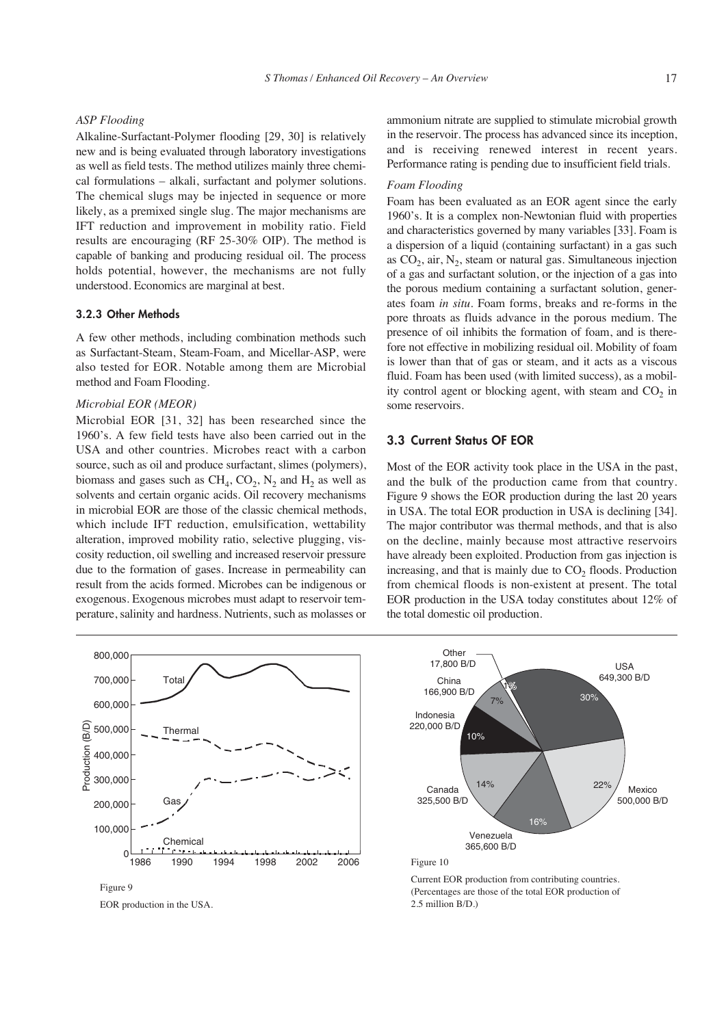# *ASP Flooding*

Alkaline-Surfactant-Polymer flooding [29, 30] is relatively new and is being evaluated through laboratory investigations as well as field tests. The method utilizes mainly three chemical formulations – alkali, surfactant and polymer solutions. The chemical slugs may be injected in sequence or more likely, as a premixed single slug. The major mechanisms are IFT reduction and improvement in mobility ratio. Field results are encouraging (RF 25-30% OIP). The method is capable of banking and producing residual oil. The process holds potential, however, the mechanisms are not fully understood. Economics are marginal at best.

# **3.2.3 Other Methods**

A few other methods, including combination methods such as Surfactant-Steam, Steam-Foam, and Micellar-ASP, were also tested for EOR. Notable among them are Microbial method and Foam Flooding.

# *Microbial EOR (MEOR)*

Microbial EOR [31, 32] has been researched since the 1960's. A few field tests have also been carried out in the USA and other countries. Microbes react with a carbon source, such as oil and produce surfactant, slimes (polymers), biomass and gases such as  $CH_4$ ,  $CO_2$ ,  $N_2$  and  $H_2$  as well as solvents and certain organic acids. Oil recovery mechanisms in microbial EOR are those of the classic chemical methods, which include IFT reduction, emulsification, wettability alteration, improved mobility ratio, selective plugging, viscosity reduction, oil swelling and increased reservoir pressure due to the formation of gases. Increase in permeability can result from the acids formed. Microbes can be indigenous or exogenous. Exogenous microbes must adapt to reservoir temperature, salinity and hardness. Nutrients, such as molasses or ammonium nitrate are supplied to stimulate microbial growth in the reservoir. The process has advanced since its inception, and is receiving renewed interest in recent years. Performance rating is pending due to insufficient field trials.

# *Foam Flooding*

Foam has been evaluated as an EOR agent since the early 1960's. It is a complex non-Newtonian fluid with properties and characteristics governed by many variables [33]. Foam is a dispersion of a liquid (containing surfactant) in a gas such as  $CO<sub>2</sub>$ , air, N<sub>2</sub>, steam or natural gas. Simultaneous injection of a gas and surfactant solution, or the injection of a gas into the porous medium containing a surfactant solution, generates foam *in situ*. Foam forms, breaks and re-forms in the pore throats as fluids advance in the porous medium. The presence of oil inhibits the formation of foam, and is therefore not effective in mobilizing residual oil. Mobility of foam is lower than that of gas or steam, and it acts as a viscous fluid. Foam has been used (with limited success), as a mobility control agent or blocking agent, with steam and  $CO<sub>2</sub>$  in some reservoirs.

# **3.3 Current Status OF EOR**

Most of the EOR activity took place in the USA in the past, and the bulk of the production came from that country. Figure 9 shows the EOR production during the last 20 years in USA. The total EOR production in USA is declining [34]. The major contributor was thermal methods, and that is also on the decline, mainly because most attractive reservoirs have already been exploited. Production from gas injection is increasing, and that is mainly due to  $CO<sub>2</sub>$  floods. Production from chemical floods is non-existent at present. The total EOR production in the USA today constitutes about 12% of the total domestic oil production.



EOR production in the USA.





Current EOR production from contributing countries. (Percentages are those of the total EOR production of 2.5 million B/D.)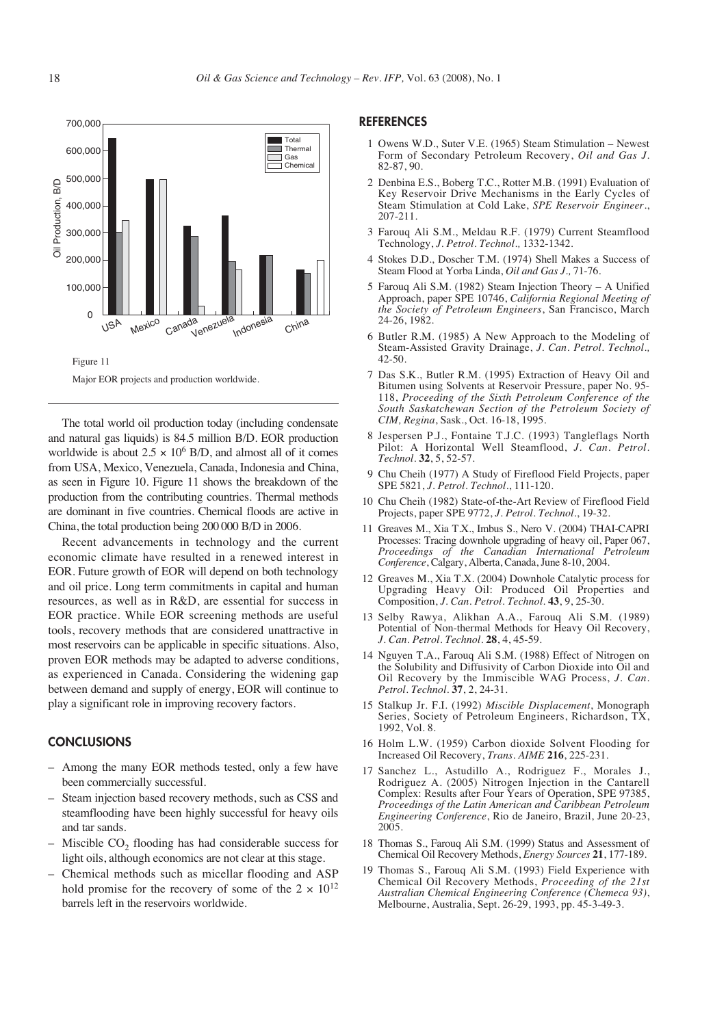

Major EOR projects and production worldwide.

The total world oil production today (including condensate and natural gas liquids) is 84.5 million B/D. EOR production worldwide is about  $2.5 \times 10^6$  B/D, and almost all of it comes from USA, Mexico, Venezuela, Canada, Indonesia and China, as seen in Figure 10. Figure 11 shows the breakdown of the production from the contributing countries. Thermal methods are dominant in five countries. Chemical floods are active in China, the total production being 200 000 B/D in 2006.

Recent advancements in technology and the current economic climate have resulted in a renewed interest in EOR. Future growth of EOR will depend on both technology and oil price. Long term commitments in capital and human resources, as well as in R&D, are essential for success in EOR practice. While EOR screening methods are useful tools, recovery methods that are considered unattractive in most reservoirs can be applicable in specific situations. Also, proven EOR methods may be adapted to adverse conditions, as experienced in Canada. Considering the widening gap between demand and supply of energy, EOR will continue to play a significant role in improving recovery factors.

# **CONCLUSIONS**

- Among the many EOR methods tested, only a few have been commercially successful.
- Steam injection based recovery methods, such as CSS and steamflooding have been highly successful for heavy oils and tar sands.
- $-$  Miscible CO<sub>2</sub> flooding has had considerable success for light oils, although economics are not clear at this stage.
- Chemical methods such as micellar flooding and ASP hold promise for the recovery of some of the  $2 \times 10^{12}$ barrels left in the reservoirs worldwide.

# **REFERENCES**

- 1 Owens W.D., Suter V.E. (1965) Steam Stimulation Newest Form of Secondary Petroleum Recovery, *Oil and Gas J.*  82-87, 90.
- 2 Denbina E.S., Boberg T.C., Rotter M.B. (1991) Evaluation of Key Reservoir Drive Mechanisms in the Early Cycles of Steam Stimulation at Cold Lake, *SPE Reservoir Engineer.*, 207-211.
- 3 Farouq Ali S.M., Meldau R.F. (1979) Current Steamflood Technology, *J. Petrol. Technol.,* 1332-1342.
- Stokes D.D., Doscher T.M. (1974) Shell Makes a Success of Steam Flood at Yorba Linda, *Oil and Gas J.,* 71-76.
- 5 Farouq Ali S.M. (1982) Steam Injection Theory A Unified Approach, paper SPE 10746, *California Regional Meeting of the Society of Petroleum Engineers*, San Francisco, March 24-26, 1982.
- 6 Butler R.M. (1985) A New Approach to the Modeling of Steam-Assisted Gravity Drainage, *J. Can. Petrol. Technol.,* 42-50.
- 7 Das S.K., Butler R.M. (1995) Extraction of Heavy Oil and Bitumen using Solvents at Reservoir Pressure, paper No. 95- 118, *Proceeding of the Sixth Petroleum Conference of the South Saskatchewan Section of the Petroleum Society of CIM, Regina*, Sask., Oct. 16-18, 1995.
- 8 Jespersen P.J., Fontaine T.J.C. (1993) Tangleflags North Pilot: A Horizontal Well Steamflood, *J. Can. Petrol. Technol.* **32**, 5, 52-57.
- 9 Chu Cheih (1977) A Study of Fireflood Field Projects, paper SPE 5821, *J. Petrol. Technol.*, 111-120.
- 10 Chu Cheih (1982) State-of-the-Art Review of Fireflood Field Projects, paper SPE 9772, *J. Petrol. Technol.*, 19-32.
- 11 Greaves M., Xia T.X., Imbus S., Nero V. (2004) THAI-CAPRI Processes: Tracing downhole upgrading of heavy oil, Paper 067, *Proceedings of the Canadian International Petroleum Conference*, Calgary, Alberta, Canada, June 8-10, 2004.
- 12 Greaves M., Xia T.X. (2004) Downhole Catalytic process for Upgrading Heavy Oil: Produced Oil Properties and Composition, *J. Can. Petrol. Technol.* **43**, 9, 25-30.
- 13 Selby Rawya, Alikhan A.A., Farouq Ali S.M. (1989) Potential of Non-thermal Methods for Heavy Oil Recovery, *J. Can. Petrol. Technol.* **28**, 4, 45-59.
- 14 Nguyen T.A., Farouq Ali S.M. (1988) Effect of Nitrogen on the Solubility and Diffusivity of Carbon Dioxide into Oil and Oil Recovery by the Immiscible WAG Process, *J. Can. Petrol. Technol.* **37**, 2, 24-31.
- 15 Stalkup Jr. F.I. (1992) *Miscible Displacement*, Monograph Series, Society of Petroleum Engineers, Richardson, TX, 1992, Vol. 8.
- 16 Holm L.W. (1959) Carbon dioxide Solvent Flooding for Increased Oil Recovery, *Trans. AIME* **216**, 225-231.
- 17 Sanchez L., Astudillo A., Rodriguez F., Morales J., Rodriguez A. (2005) Nitrogen Injection in the Cantarell Complex: Results after Four Years of Operation, SPE 97385, *Proceedings of the Latin American and Caribbean Petroleum Engineering Conference*, Rio de Janeiro, Brazil, June 20-23, 2005.
- 18 Thomas S., Farouq Ali S.M. (1999) Status and Assessment of Chemical Oil Recovery Methods, *Energy Sources* **21**, 177-189.
- 19 Thomas S., Farouq Ali S.M. (1993) Field Experience with Chemical Oil Recovery Methods, *Proceeding of the 21st Australian Chemical Engineering Conference (Chemeca 93)*, Melbourne, Australia, Sept. 26-29, 1993, pp. 45-3-49-3.